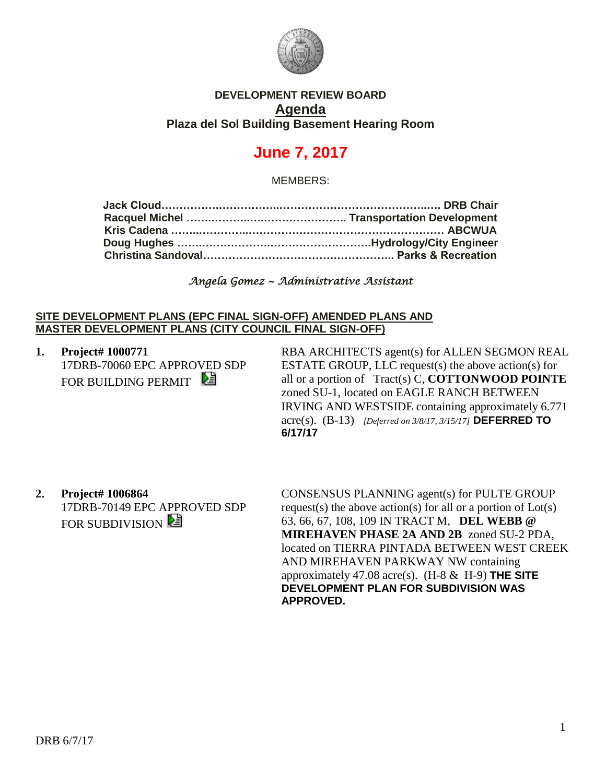

## **DEVELOPMENT REVIEW BOARD Agenda Plaza del Sol Building Basement Hearing Room**

# **June 7, 2017**

MEMBERS:

| Jack Cloud……………………………………………………………………… DRB Chair |
|-------------------------------------------------|
|                                                 |
|                                                 |
|                                                 |
|                                                 |
|                                                 |

*Angela Gomez ~ Administrative Assistant* 

#### **SITE DEVELOPMENT PLANS (EPC FINAL SIGN-OFF) AMENDED PLANS AND MASTER DEVELOPMENT PLANS (CITY COUNCIL FINAL SIGN-OFF)**

**1. Project# 1000771** 17DRB-70060 EPC APPROVED SDP FOR BUILDING PERMIT

RBA ARCHITECTS agent(s) for ALLEN SEGMON REAL ESTATE GROUP, LLC request(s) the above action(s) for all or a portion of Tract(s) C, **COTTONWOOD POINTE** zoned SU-1, located on EAGLE RANCH BETWEEN IRVING AND WESTSIDE containing approximately 6.771 acre(s). (B-13) *[Deferred on 3/8/17, 3/15/17]* **DEFERRED TO 6/17/17**

**2. Project# 1006864** 17DRB-70149 EPC APPROVED SDP FOR SUBDIVISION 2

CONSENSUS PLANNING agent(s) for PULTE GROUP request(s) the above action(s) for all or a portion of  $Lot(s)$ 63, 66, 67, 108, 109 IN TRACT M, **DEL WEBB @ MIREHAVEN PHASE 2A AND 2B** zoned SU-2 PDA, located on TIERRA PINTADA BETWEEN WEST CREEK AND MIREHAVEN PARKWAY NW containing approximately 47.08 acre(s). (H-8 & H-9) **THE SITE DEVELOPMENT PLAN FOR SUBDIVISION WAS APPROVED.**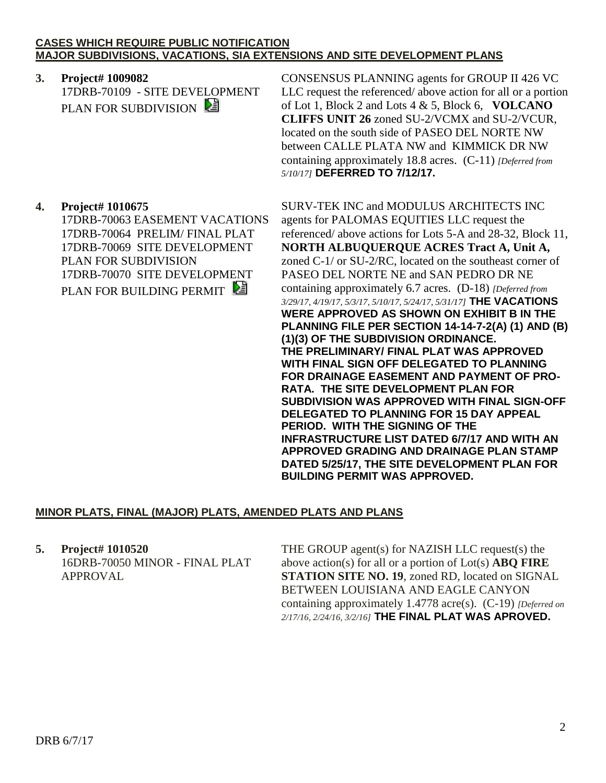#### **CASES WHICH REQUIRE PUBLIC NOTIFICATION MAJOR SUBDIVISIONS, VACATIONS, SIA EXTENSIONS AND SITE DEVELOPMENT PLANS**

### **3. Project# 1009082** 17DRB-70109 - SITE DEVELOPMENT PLAN FOR SUBDIVISION

CONSENSUS PLANNING agents for GROUP II 426 VC LLC request the referenced/ above action for all or a portion of Lot 1, Block 2 and Lots 4 & 5, Block 6, **VOLCANO CLIFFS UNIT 26** zoned SU-2/VCMX and SU-2/VCUR, located on the south side of PASEO DEL NORTE NW between CALLE PLATA NW and KIMMICK DR NW containing approximately 18.8 acres. (C-11) *[Deferred from 5/10/17]* **DEFERRED TO 7/12/17.**

## **4. Project# 1010675**

17DRB-70063 EASEMENT VACATIONS 17DRB-70064 PRELIM/ FINAL PLAT 17DRB-70069 SITE DEVELOPMENT PLAN FOR SUBDIVISION 17DRB-70070 SITE DEVELOPMENT PLAN FOR BUILDING PERMIT

SURV-TEK INC and MODULUS ARCHITECTS INC agents for PALOMAS EQUITIES LLC request the referenced/ above actions for Lots 5-A and 28-32, Block 11, **NORTH ALBUQUERQUE ACRES Tract A, Unit A,** zoned C-1/ or SU-2/RC, located on the southeast corner of PASEO DEL NORTE NE and SAN PEDRO DR NE containing approximately 6.7 acres. (D-18) *[Deferred from 3/29/17, 4/19/17, 5/3/17, 5/10/17, 5/24/17, 5/31/17]* **THE VACATIONS WERE APPROVED AS SHOWN ON EXHIBIT B IN THE PLANNING FILE PER SECTION 14-14-7-2(A) (1) AND (B) (1)(3) OF THE SUBDIVISION ORDINANCE. THE PRELIMINARY/ FINAL PLAT WAS APPROVED WITH FINAL SIGN OFF DELEGATED TO PLANNING FOR DRAINAGE EASEMENT AND PAYMENT OF PRO-RATA. THE SITE DEVELOPMENT PLAN FOR SUBDIVISION WAS APPROVED WITH FINAL SIGN-OFF DELEGATED TO PLANNING FOR 15 DAY APPEAL PERIOD. WITH THE SIGNING OF THE INFRASTRUCTURE LIST DATED 6/7/17 AND WITH AN APPROVED GRADING AND DRAINAGE PLAN STAMP DATED 5/25/17, THE SITE DEVELOPMENT PLAN FOR BUILDING PERMIT WAS APPROVED.**

## **MINOR PLATS, FINAL (MAJOR) PLATS, AMENDED PLATS AND PLANS**

**5. Project# 1010520** 16DRB-70050 MINOR - FINAL PLAT APPROVAL

THE GROUP agent(s) for NAZISH LLC request(s) the above action(s) for all or a portion of Lot(s) **ABQ FIRE STATION SITE NO. 19**, zoned RD, located on SIGNAL BETWEEN LOUISIANA AND EAGLE CANYON containing approximately 1.4778 acre(s). (C-19) *[Deferred on 2/17/16, 2/24/16, 3/2/16]* **THE FINAL PLAT WAS APROVED.**